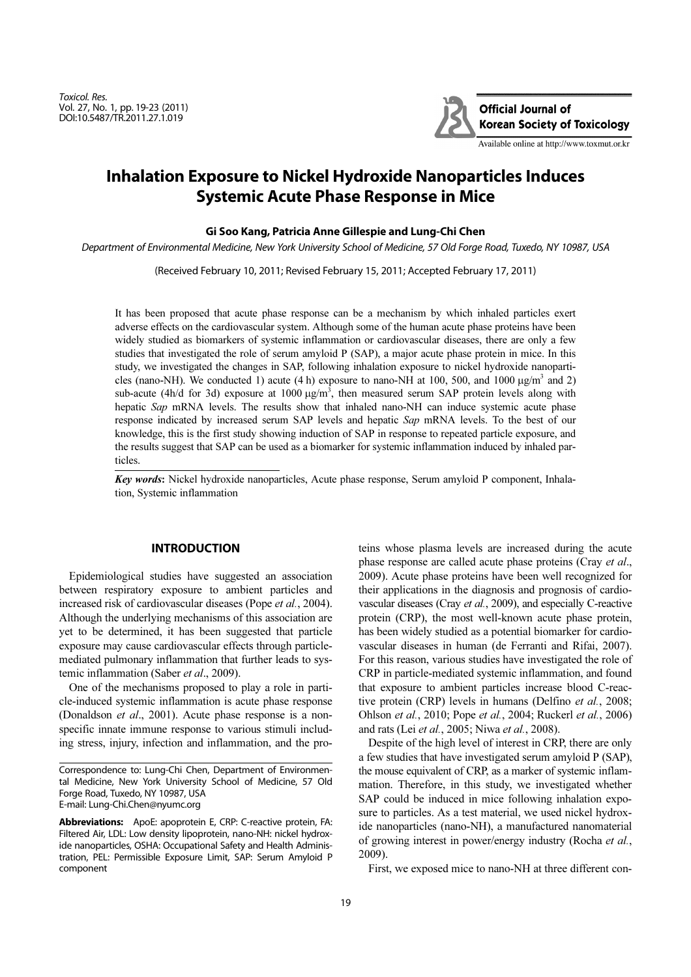Toxicol. Res. Vol. 27, No. 1, pp. 19-23 (2011) DOI:10.5487/TR.2011.27.1.019



# **Inhalation Exposure to Nickel Hydroxide Nanoparticles Induces Systemic Acute Phase Response in Mice**

## **Gi Soo Kang, Patricia Anne Gillespie and Lung-Chi Chen**

Department of Environmental Medicine, New York University School of Medicine, 57 Old Forge Road, Tuxedo, NY 10987, USA

(Received February 10, 2011; Revised February 15, 2011; Accepted February 17, 2011)

It has been proposed that acute phase response can be a mechanism by which inhaled particles exert adverse effects on the cardiovascular system. Although some of the human acute phase proteins have been widely studied as biomarkers of systemic inflammation or cardiovascular diseases, there are only a few studies that investigated the role of serum amyloid P (SAP), a major acute phase protein in mice. In this study, we investigated the changes in SAP, following inhalation exposure to nickel hydroxide nanoparticles (nano-NH). We conducted 1) acute (4 h) exposure to nano-NH at 100, 500, and 1000  $\mu g/m^3$  and 2) sub-acute (4h/d for 3d) exposure at  $1000 \mu g/m<sup>3</sup>$ , then measured serum SAP protein levels along with hepatic Sap mRNA levels. The results show that inhaled nano-NH can induce systemic acute phase response indicated by increased serum SAP levels and hepatic Sap mRNA levels. To the best of our knowledge, this is the first study showing induction of SAP in response to repeated particle exposure, and the results suggest that SAP can be used as a biomarker for systemic inflammation induced by inhaled particles.

Key words*:* Nickel hydroxide nanoparticles, Acute phase response, Serum amyloid P component, Inhalation, Systemic inflammation

# **INTRODUCTION**

Epidemiological studies have suggested an association between respiratory exposure to ambient particles and increased risk of cardiovascular diseases (Pope et al., 2004). Although the underlying mechanisms of this association are yet to be determined, it has been suggested that particle exposure may cause cardiovascular effects through particlemediated pulmonary inflammation that further leads to systemic inflammation (Saber et al., 2009).

One of the mechanisms proposed to play a role in particle-induced systemic inflammation is acute phase response (Donaldson et al., 2001). Acute phase response is a nonspecific innate immune response to various stimuli including stress, injury, infection and inflammation, and the proteins whose plasma levels are increased during the acute phase response are called acute phase proteins (Cray et al., 2009). Acute phase proteins have been well recognized for their applications in the diagnosis and prognosis of cardiovascular diseases (Cray et al., 2009), and especially C-reactive protein (CRP), the most well-known acute phase protein, has been widely studied as a potential biomarker for cardiovascular diseases in human (de Ferranti and Rifai, 2007). For this reason, various studies have investigated the role of CRP in particle-mediated systemic inflammation, and found that exposure to ambient particles increase blood C-reactive protein (CRP) levels in humans (Delfino et al., 2008; Ohlson et al., 2010; Pope et al., 2004; Ruckerl et al., 2006) and rats (Lei et al., 2005; Niwa et al., 2008).

Despite of the high level of interest in CRP, there are only a few studies that have investigated serum amyloid P (SAP), the mouse equivalent of CRP, as a marker of systemic inflammation. Therefore, in this study, we investigated whether SAP could be induced in mice following inhalation exposure to particles. As a test material, we used nickel hydroxide nanoparticles (nano-NH), a manufactured nanomaterial of growing interest in power/energy industry (Rocha et al., 2009).

First, we exposed mice to nano-NH at three different con-

Correspondence to: Lung-Chi Chen, Department of Environmental Medicine, New York University School of Medicine, 57 Old Forge Road, Tuxedo, NY 10987, USA E-mail: Lung-Chi.Chen@nyumc.org

**Abbreviations:** ApoE: apoprotein E, CRP: C-reactive protein, FA: Filtered Air, LDL: Low density lipoprotein, nano-NH: nickel hydroxide nanoparticles, OSHA: Occupational Safety and Health Administration, PEL: Permissible Exposure Limit, SAP: Serum Amyloid P component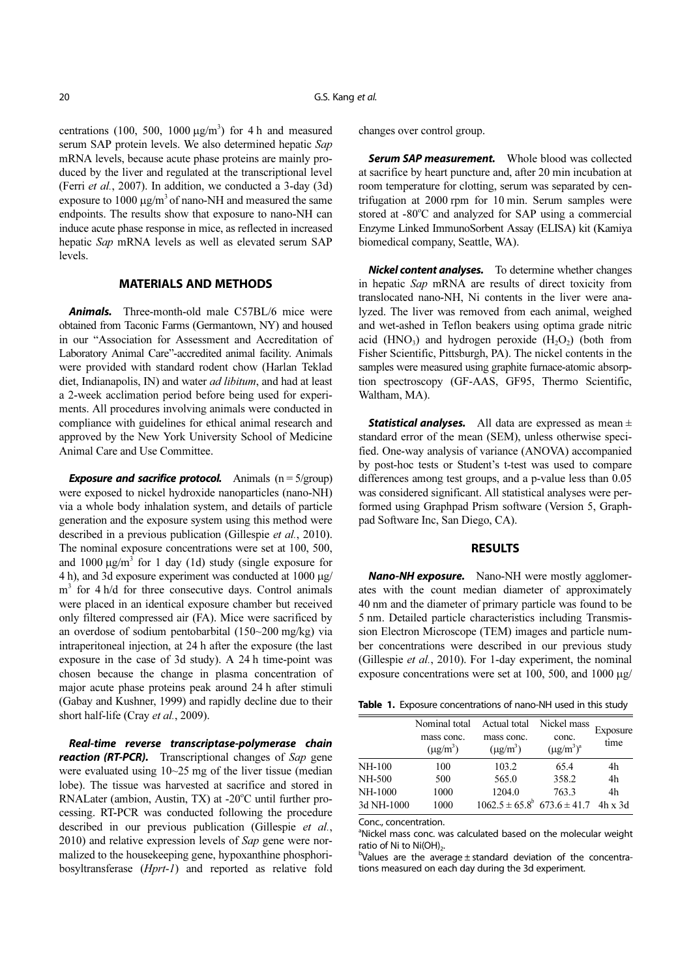centrations (100, 500, 1000  $\mu$ g/m<sup>3</sup>) for 4 h and measured serum SAP protein levels. We also determined hepatic Sap mRNA levels, because acute phase proteins are mainly produced by the liver and regulated at the transcriptional level (Ferri et al., 2007). In addition, we conducted a 3-day (3d) exposure to  $1000 \mu g/m^3$  of nano-NH and measured the same endpoints. The results show that exposure to nano-NH can induce acute phase response in mice, as reflected in increased hepatic Sap mRNA levels as well as elevated serum SAP levels.

# **MATERIALS AND METHODS**

*Animals.* Three-month-old male C57BL/6 mice were obtained from Taconic Farms (Germantown, NY) and housed in our "Association for Assessment and Accreditation of Laboratory Animal Care"-accredited animal facility. Animals were provided with standard rodent chow (Harlan Teklad diet, Indianapolis, IN) and water *ad libitum*, and had at least a 2-week acclimation period before being used for experiments. All procedures involving animals were conducted in compliance with guidelines for ethical animal research and approved by the New York University School of Medicine Animal Care and Use Committee.

**Exposure and sacrifice protocol.** Animals (n = 5/group) were exposed to nickel hydroxide nanoparticles (nano-NH) via a whole body inhalation system, and details of particle generation and the exposure system using this method were described in a previous publication (Gillespie et al., 2010). The nominal exposure concentrations were set at 100, 500, and 1000  $\mu$ g/m<sup>3</sup> for 1 day (1d) study (single exposure for 4 h), and 3d exposure experiment was conducted at 1000 µg/ m<sup>3</sup> for 4 h/d for three consecutive days. Control animals were placed in an identical exposure chamber but received only filtered compressed air (FA). Mice were sacrificed by an overdose of sodium pentobarbital (150~200 mg/kg) via intraperitoneal injection, at 24 h after the exposure (the last exposure in the case of 3d study). A 24 h time-point was chosen because the change in plasma concentration of major acute phase proteins peak around 24 h after stimuli (Gabay and Kushner, 1999) and rapidly decline due to their short half-life (Cray et al., 2009).

*Real-time reverse transcriptase-polymerase chain* **reaction (RT-PCR).** Transcriptional changes of Sap gene were evaluated using 10~25 mg of the liver tissue (median lobe). The tissue was harvested at sacrifice and stored in RNALater (ambion, Austin, TX) at -20°C until further processing. RT-PCR was conducted following the procedure described in our previous publication (Gillespie et al., 2010) and relative expression levels of Sap gene were normalized to the housekeeping gene, hypoxanthine phosphoribosyltransferase (Hprt-1) and reported as relative fold changes over control group.

*Serum SAP measurement.* Whole blood was collected at sacrifice by heart puncture and, after 20 min incubation at room temperature for clotting, serum was separated by centrifugation at 2000 rpm for 10 min. Serum samples were stored at -80°C and analyzed for SAP using a commercial Enzyme Linked ImmunoSorbent Assay (ELISA) kit (Kamiya biomedical company, Seattle, WA).

*Nickel content analyses.* To determine whether changes in hepatic Sap mRNA are results of direct toxicity from translocated nano-NH, Ni contents in the liver were analyzed. The liver was removed from each animal, weighed and wet-ashed in Teflon beakers using optima grade nitric acid (HNO<sub>3</sub>) and hydrogen peroxide  $(H_2O_2)$  (both from Fisher Scientific, Pittsburgh, PA). The nickel contents in the samples were measured using graphite furnace-atomic absorption spectroscopy (GF-AAS, GF95, Thermo Scientific, Waltham, MA).

**Statistical analyses.** All data are expressed as mean  $\pm$ standard error of the mean (SEM), unless otherwise specified. One-way analysis of variance (ANOVA) accompanied by post-hoc tests or Student's t-test was used to compare differences among test groups, and a p-value less than 0.05 was considered significant. All statistical analyses were performed using Graphpad Prism software (Version 5, Graphpad Software Inc, San Diego, CA).

#### **RESULTS**

*Nano-NH exposure.* Nano-NH were mostly agglomerates with the count median diameter of approximately 40 nm and the diameter of primary particle was found to be 5 nm. Detailed particle characteristics including Transmission Electron Microscope (TEM) images and particle number concentrations were described in our previous study (Gillespie et al., 2010). For 1-day experiment, the nominal exposure concentrations were set at 100, 500, and 1000 µg/

**Table 1.** Exposure concentrations of nano-NH used in this study

|               | Nominal total<br>mass conc.<br>$(\mu g/m^3)$ | Actual total<br>mass conc.<br>$(\mu g/m^3)$ | Nickel mass<br>conc.<br>$(\mu g/m^3)^a$ | Exposure<br>time |
|---------------|----------------------------------------------|---------------------------------------------|-----------------------------------------|------------------|
| <b>NH-100</b> | 100                                          | 103.2                                       | 65.4                                    | 4h               |
| NH-500        | 500                                          | 565.0                                       | 358.2                                   | 4h               |
| NH-1000       | 1000                                         | 1204.0                                      | 763.3                                   | 4h               |
| 3d NH-1000    | 1000                                         | $1062.5 \pm 65.8^b$ 673.6 $\pm$ 41.7        |                                         | $4h \times 3d$   |

Conc., concentration.

<sup>a</sup>Nickel mass conc. was calculated based on the molecular weight ratio of Ni to  $Ni(OH)_{2}$ .

 $b$ Values are the average  $\pm$  standard deviation of the concentrations measured on each day during the 3d experiment.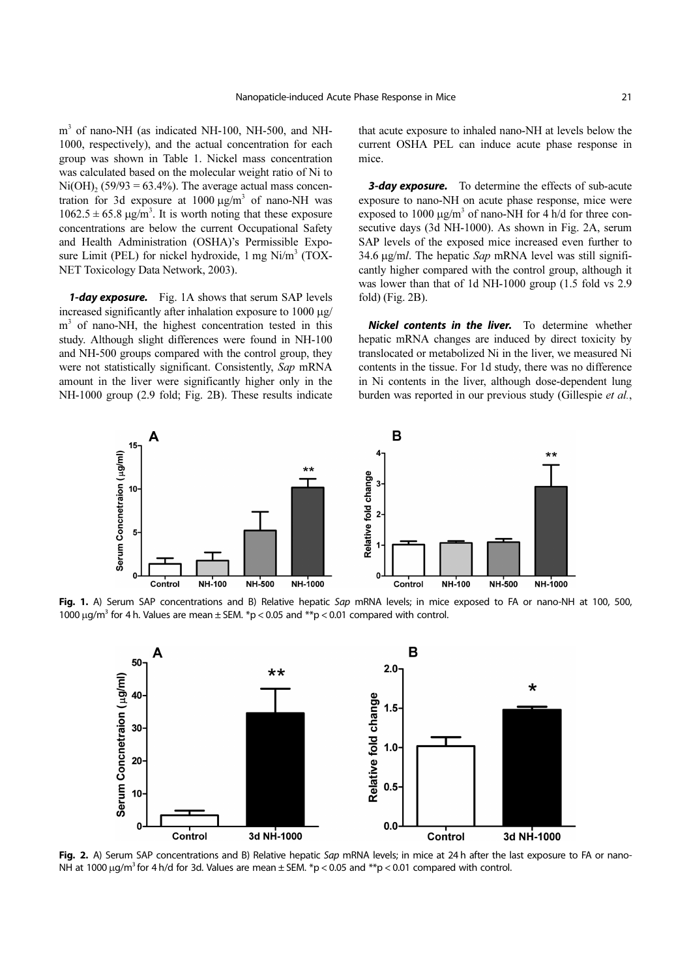m<sup>3</sup> of nano-NH (as indicated NH-100, NH-500, and NH-1000, respectively), and the actual concentration for each group was shown in Table 1. Nickel mass concentration was calculated based on the molecular weight ratio of Ni to  $Ni(OH)_{2}$  (59/93 = 63.4%). The average actual mass concentration for 3d exposure at  $1000 \mu g/m^3$  of nano-NH was  $1062.5 \pm 65.8 \,\mathrm{\mu g/m^3}$ . It is worth noting that these exposure concentrations are below the current Occupational Safety and Health Administration (OSHA)'s Permissible Exposure Limit (PEL) for nickel hydroxide,  $1 \text{ mg Ni/m}^3$  (TOX-NET Toxicology Data Network, 2003).

*1-day exposure.* Fig. 1A shows that serum SAP levels increased significantly after inhalation exposure to 1000 µg/ m<sup>3</sup> of nano-NH, the highest concentration tested in this study. Although slight differences were found in NH-100 and NH-500 groups compared with the control group, they were not statistically significant. Consistently, Sap mRNA amount in the liver were significantly higher only in the NH-1000 group (2.9 fold; Fig. 2B). These results indicate that acute exposure to inhaled nano-NH at levels below the current OSHA PEL can induce acute phase response in mice.

*3-day exposure.* To determine the effects of sub-acute exposure to nano-NH on acute phase response, mice were exposed to 1000  $\mu$ g/m<sup>3</sup> of nano-NH for 4 h/d for three consecutive days (3d NH-1000). As shown in Fig. 2A, serum SAP levels of the exposed mice increased even further to 34.6 µg/ml. The hepatic Sap mRNA level was still significantly higher compared with the control group, although it was lower than that of 1d NH-1000 group (1.5 fold vs 2.9 fold) (Fig. 2B).

*Nickel contents in the liver.* To determine whether hepatic mRNA changes are induced by direct toxicity by translocated or metabolized Ni in the liver, we measured Ni contents in the tissue. For 1d study, there was no difference in Ni contents in the liver, although dose-dependent lung burden was reported in our previous study (Gillespie et al.,



Fig. 1. A) Serum SAP concentrations and B) Relative hepatic Sap mRNA levels; in mice exposed to FA or nano-NH at 100, 500, 1000  $\mu$ g/m<sup>3</sup> for 4 h. Values are mean  $\pm$  SEM. \*p < 0.05 and \*\*p < 0.01 compared with control.



Fig. 2. A) Serum SAP concentrations and B) Relative hepatic Sap mRNA levels; in mice at 24 h after the last exposure to FA or nano-NH at 1000  $\mu$ g/m<sup>3</sup> for 4 h/d for 3d. Values are mean  $\pm$  SEM. \*p < 0.05 and \*\*p < 0.01 compared with control.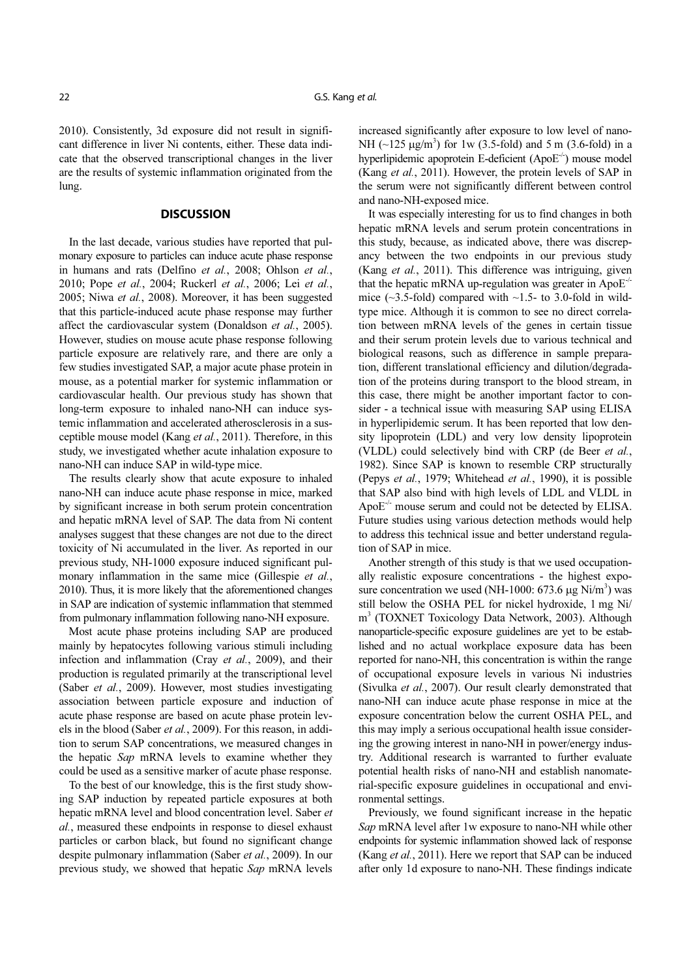2010). Consistently, 3d exposure did not result in significant difference in liver Ni contents, either. These data indicate that the observed transcriptional changes in the liver are the results of systemic inflammation originated from the lung.

## **DISCUSSION**

In the last decade, various studies have reported that pulmonary exposure to particles can induce acute phase response in humans and rats (Delfino et al., 2008; Ohlson et al., 2010; Pope et al., 2004; Ruckerl et al., 2006; Lei et al., 2005; Niwa et al., 2008). Moreover, it has been suggested that this particle-induced acute phase response may further affect the cardiovascular system (Donaldson et al., 2005). However, studies on mouse acute phase response following particle exposure are relatively rare, and there are only a few studies investigated SAP, a major acute phase protein in mouse, as a potential marker for systemic inflammation or cardiovascular health. Our previous study has shown that long-term exposure to inhaled nano-NH can induce systemic inflammation and accelerated atherosclerosis in a susceptible mouse model (Kang et al., 2011). Therefore, in this study, we investigated whether acute inhalation exposure to nano-NH can induce SAP in wild-type mice.

The results clearly show that acute exposure to inhaled nano-NH can induce acute phase response in mice, marked by significant increase in both serum protein concentration and hepatic mRNA level of SAP. The data from Ni content analyses suggest that these changes are not due to the direct toxicity of Ni accumulated in the liver. As reported in our previous study, NH-1000 exposure induced significant pulmonary inflammation in the same mice (Gillespie et al., 2010). Thus, it is more likely that the aforementioned changes in SAP are indication of systemic inflammation that stemmed from pulmonary inflammation following nano-NH exposure.

Most acute phase proteins including SAP are produced mainly by hepatocytes following various stimuli including infection and inflammation (Cray et al., 2009), and their production is regulated primarily at the transcriptional level (Saber et al., 2009). However, most studies investigating association between particle exposure and induction of acute phase response are based on acute phase protein levels in the blood (Saber et al., 2009). For this reason, in addition to serum SAP concentrations, we measured changes in the hepatic Sap mRNA levels to examine whether they could be used as a sensitive marker of acute phase response.

To the best of our knowledge, this is the first study showing SAP induction by repeated particle exposures at both hepatic mRNA level and blood concentration level. Saber et al., measured these endpoints in response to diesel exhaust particles or carbon black, but found no significant change despite pulmonary inflammation (Saber et al., 2009). In our previous study, we showed that hepatic Sap mRNA levels increased significantly after exposure to low level of nano-NH  $(-125 \mu g/m^3)$  for 1w (3.5-fold) and 5 m (3.6-fold) in a hyperlipidemic apoprotein E-deficient  $(ApoE^{-1})$  mouse model (Kang et al., 2011). However, the protein levels of SAP in the serum were not significantly different between control and nano-NH-exposed mice.

It was especially interesting for us to find changes in both hepatic mRNA levels and serum protein concentrations in this study, because, as indicated above, there was discrepancy between the two endpoints in our previous study (Kang et al., 2011). This difference was intriguing, given that the hepatic mRNA up-regulation was greater in ApoE<sup>-/-</sup> mice  $(\sim]3.5$ -fold) compared with  $\sim]1.5$ - to 3.0-fold in wildtype mice. Although it is common to see no direct correlation between mRNA levels of the genes in certain tissue and their serum protein levels due to various technical and biological reasons, such as difference in sample preparation, different translational efficiency and dilution/degradation of the proteins during transport to the blood stream, in this case, there might be another important factor to consider - a technical issue with measuring SAP using ELISA in hyperlipidemic serum. It has been reported that low density lipoprotein (LDL) and very low density lipoprotein (VLDL) could selectively bind with CRP (de Beer et al., 1982). Since SAP is known to resemble CRP structurally (Pepys et al., 1979; Whitehead et al., 1990), it is possible that SAP also bind with high levels of LDL and VLDL in ApoE<sup>-/-</sup> mouse serum and could not be detected by ELISA. Future studies using various detection methods would help to address this technical issue and better understand regulation of SAP in mice.

Another strength of this study is that we used occupationally realistic exposure concentrations - the highest exposure concentration we used (NH-1000: 673.6  $\mu$ g Ni/m<sup>3</sup>) was still below the OSHA PEL for nickel hydroxide, 1 mg Ni/ m3 (TOXNET Toxicology Data Network, 2003). Although nanoparticle-specific exposure guidelines are yet to be established and no actual workplace exposure data has been reported for nano-NH, this concentration is within the range of occupational exposure levels in various Ni industries (Sivulka et al., 2007). Our result clearly demonstrated that nano-NH can induce acute phase response in mice at the exposure concentration below the current OSHA PEL, and this may imply a serious occupational health issue considering the growing interest in nano-NH in power/energy industry. Additional research is warranted to further evaluate potential health risks of nano-NH and establish nanomaterial-specific exposure guidelines in occupational and environmental settings.

Previously, we found significant increase in the hepatic Sap mRNA level after 1w exposure to nano-NH while other endpoints for systemic inflammation showed lack of response (Kang et al., 2011). Here we report that SAP can be induced after only 1d exposure to nano-NH. These findings indicate